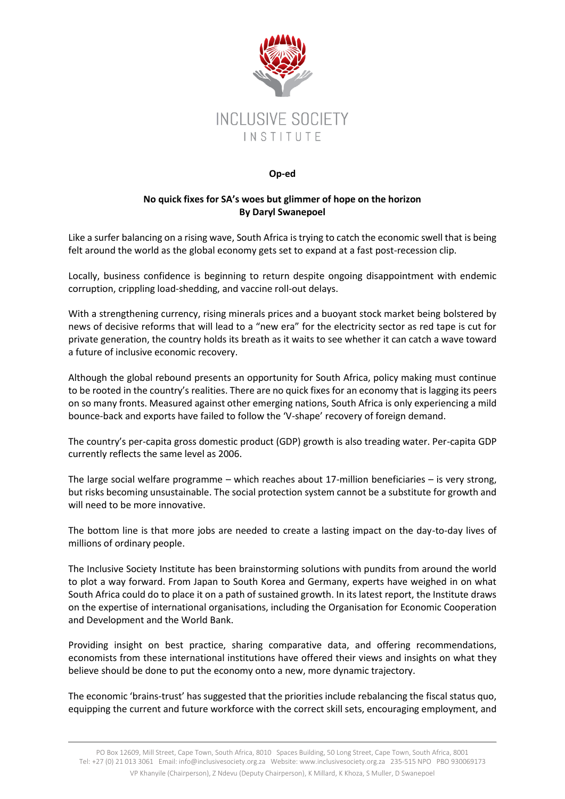

## **Op-ed**

## **No quick fixes for SA's woes but glimmer of hope on the horizon By Daryl Swanepoel**

Like a surfer balancing on a rising wave, South Africa is trying to catch the economic swell that is being felt around the world as the global economy gets set to expand at a fast post-recession clip.

Locally, business confidence is beginning to return despite ongoing disappointment with endemic corruption, crippling load-shedding, and vaccine roll-out delays.

With a strengthening currency, rising minerals prices and a buoyant stock market being bolstered by news of decisive reforms that will lead to a "new era" for the electricity sector as red tape is cut for private generation, the country holds its breath as it waits to see whether it can catch a wave toward a future of inclusive economic recovery.

Although the global rebound presents an opportunity for South Africa, policy making must continue to be rooted in the country's realities. There are no quick fixes for an economy that is lagging its peers on so many fronts. Measured against other emerging nations, South Africa is only experiencing a mild bounce-back and exports have failed to follow the 'V-shape' recovery of foreign demand.

The country's per-capita gross domestic product (GDP) growth is also treading water. Per-capita GDP currently reflects the same level as 2006.

The large social welfare programme – which reaches about 17-million beneficiaries – is very strong, but risks becoming unsustainable. The social protection system cannot be a substitute for growth and will need to be more innovative.

The bottom line is that more jobs are needed to create a lasting impact on the day-to-day lives of millions of ordinary people.

The Inclusive Society Institute has been brainstorming solutions with pundits from around the world to plot a way forward. From Japan to South Korea and Germany, experts have weighed in on what South Africa could do to place it on a path of sustained growth. In its latest report, the Institute draws on the expertise of international organisations, including the Organisation for Economic Cooperation and Development and the World Bank.

Providing insight on best practice, sharing comparative data, and offering recommendations, economists from these international institutions have offered their views and insights on what they believe should be done to put the economy onto a new, more dynamic trajectory.

The economic 'brains-trust' has suggested that the priorities include rebalancing the fiscal status quo, equipping the current and future workforce with the correct skill sets, encouraging employment, and